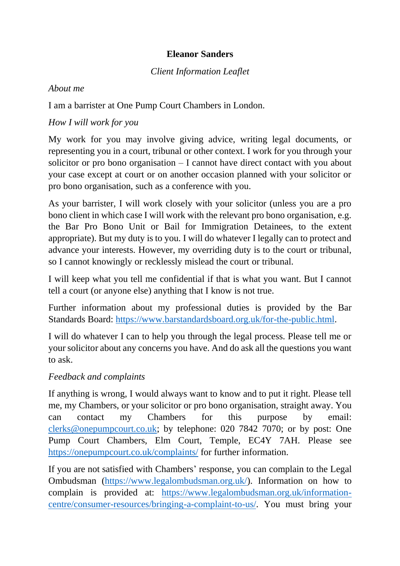## **Eleanor Sanders**

## *Client Information Leaflet*

### *About me*

I am a barrister at One Pump Court Chambers in London.

## *How I will work for you*

My work for you may involve giving advice, writing legal documents, or representing you in a court, tribunal or other context. I work for you through your solicitor or pro bono organisation – I cannot have direct contact with you about your case except at court or on another occasion planned with your solicitor or pro bono organisation, such as a conference with you.

As your barrister, I will work closely with your solicitor (unless you are a pro bono client in which case I will work with the relevant pro bono organisation, e.g. the Bar Pro Bono Unit or Bail for Immigration Detainees, to the extent appropriate). But my duty is to you. I will do whatever I legally can to protect and advance your interests. However, my overriding duty is to the court or tribunal, so I cannot knowingly or recklessly mislead the court or tribunal.

I will keep what you tell me confidential if that is what you want. But I cannot tell a court (or anyone else) anything that I know is not true.

Further information about my professional duties is provided by the Bar Standards Board: [https://www.barstandardsboard.org.uk/for-the-public.html.](https://www.barstandardsboard.org.uk/for-the-public.html)

I will do whatever I can to help you through the legal process. Please tell me or your solicitor about any concerns you have. And do ask all the questions you want to ask.

# *Feedback and complaints*

If anything is wrong, I would always want to know and to put it right. Please tell me, my Chambers, or your solicitor or pro bono organisation, straight away. You can contact my Chambers for this purpose by email: [clerks@onepumpcourt.co.uk;](mailto:clerks@onepumpcourt.co.uk) by telephone: 020 7842 7070; or by post: One Pump Court Chambers, Elm Court, Temple, EC4Y 7AH. Please see <https://onepumpcourt.co.uk/complaints/> for further information.

If you are not satisfied with Chambers' response, you can complain to the Legal Ombudsman [\(https://www.legalombudsman.org.uk/\)](https://www.legalombudsman.org.uk/). Information on how to complain is provided at: [https://www.legalombudsman.org.uk/information](https://www.legalombudsman.org.uk/information-centre/consumer-resources/bringing-a-complaint-to-us/)[centre/consumer-resources/bringing-a-complaint-to-us/.](https://www.legalombudsman.org.uk/information-centre/consumer-resources/bringing-a-complaint-to-us/) You must bring your